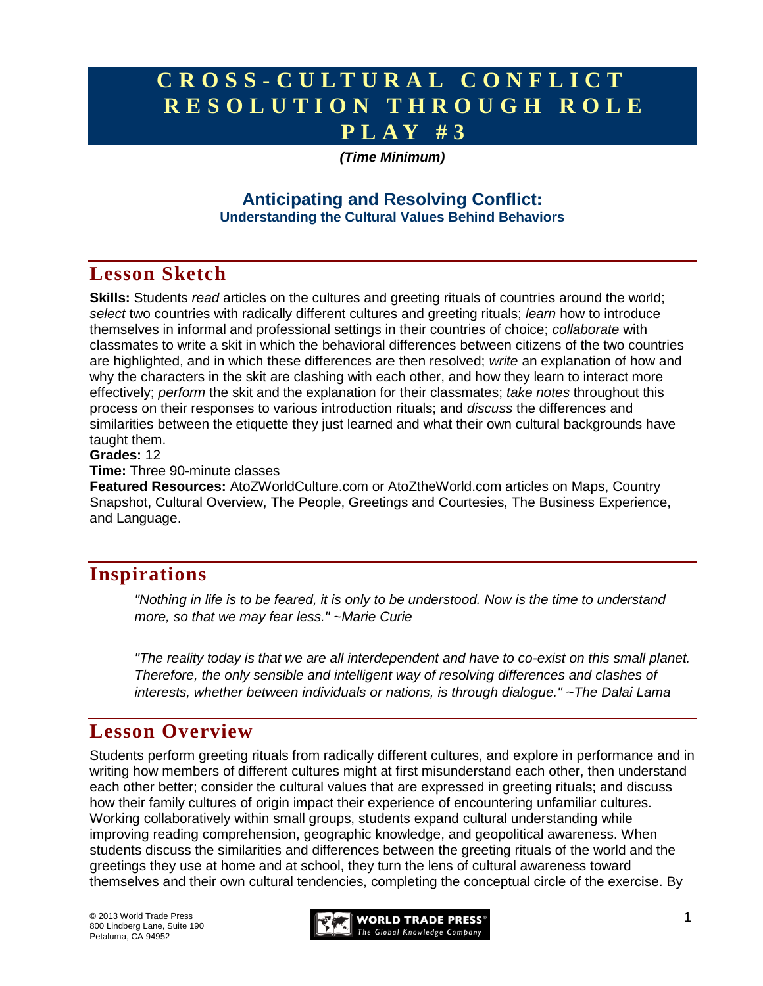# **C R O S S - C U L T U R A L C O N F L I C T R E S O L U T I O N T H R O U G H R O L E P L A Y # 3**

### *(Time Minimum)*

### **Anticipating and Resolving Conflict: Understanding the Cultural Values Behind Behaviors**

# **Lesson Sketch**

**Skills:** Students *read* articles on the cultures and greeting rituals of countries around the world; *select* two countries with radically different cultures and greeting rituals; *learn* how to introduce themselves in informal and professional settings in their countries of choice; *collaborate* with classmates to write a skit in which the behavioral differences between citizens of the two countries are highlighted, and in which these differences are then resolved; *write* an explanation of how and why the characters in the skit are clashing with each other, and how they learn to interact more effectively; *perform* the skit and the explanation for their classmates; *take notes* throughout this process on their responses to various introduction rituals; and *discuss* the differences and similarities between the etiquette they just learned and what their own cultural backgrounds have taught them.

#### **Grades:** 12

**Time:** Three 90-minute classes

**Featured Resources:** AtoZWorldCulture.com or AtoZtheWorld.com articles on Maps, Country Snapshot, Cultural Overview, The People, Greetings and Courtesies, The Business Experience, and Language.

# **Inspirations**

*"Nothing in life is to be feared, it is only to be understood. Now is the time to understand more, so that we may fear less." ~Marie Curie*

*"The reality today is that we are all interdependent and have to co-exist on this small planet. Therefore, the only sensible and intelligent way of resolving differences and clashes of interests, whether between individuals or nations, is through dialogue." ~The Dalai Lama*

## **Lesson Overview**

Students perform greeting rituals from radically different cultures, and explore in performance and in writing how members of different cultures might at first misunderstand each other, then understand each other better; consider the cultural values that are expressed in greeting rituals; and discuss how their family cultures of origin impact their experience of encountering unfamiliar cultures. Working collaboratively within small groups, students expand cultural understanding while improving reading comprehension, geographic knowledge, and geopolitical awareness. When students discuss the similarities and differences between the greeting rituals of the world and the greetings they use at home and at school, they turn the lens of cultural awareness toward themselves and their own cultural tendencies, completing the conceptual circle of the exercise. By

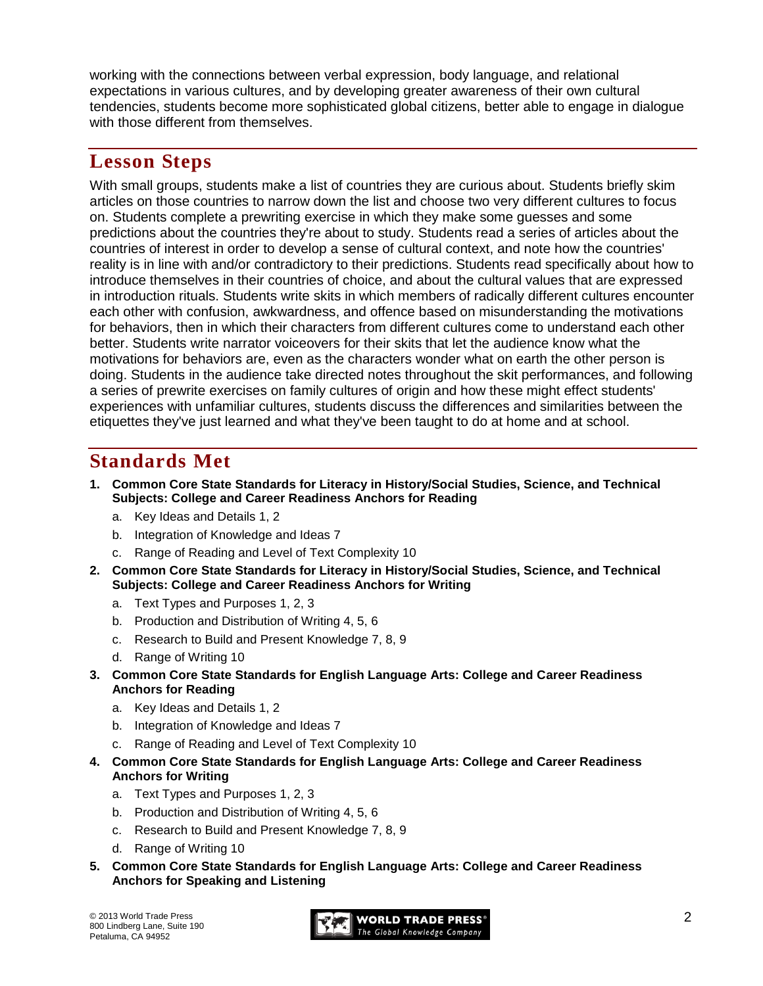working with the connections between verbal expression, body language, and relational expectations in various cultures, and by developing greater awareness of their own cultural tendencies, students become more sophisticated global citizens, better able to engage in dialogue with those different from themselves.

## **Lesson Steps**

With small groups, students make a list of countries they are curious about. Students briefly skim articles on those countries to narrow down the list and choose two very different cultures to focus on. Students complete a prewriting exercise in which they make some guesses and some predictions about the countries they're about to study. Students read a series of articles about the countries of interest in order to develop a sense of cultural context, and note how the countries' reality is in line with and/or contradictory to their predictions. Students read specifically about how to introduce themselves in their countries of choice, and about the cultural values that are expressed in introduction rituals. Students write skits in which members of radically different cultures encounter each other with confusion, awkwardness, and offence based on misunderstanding the motivations for behaviors, then in which their characters from different cultures come to understand each other better. Students write narrator voiceovers for their skits that let the audience know what the motivations for behaviors are, even as the characters wonder what on earth the other person is doing. Students in the audience take directed notes throughout the skit performances, and following a series of prewrite exercises on family cultures of origin and how these might effect students' experiences with unfamiliar cultures, students discuss the differences and similarities between the etiquettes they've just learned and what they've been taught to do at home and at school.

# **Standards Met**

- **1. Common Core State Standards for Literacy in History/Social Studies, Science, and Technical Subjects: College and Career Readiness Anchors for Reading**
	- a. Key Ideas and Details 1, 2
	- b. Integration of Knowledge and Ideas 7
	- c. Range of Reading and Level of Text Complexity 10
- **2. Common Core State Standards for Literacy in History/Social Studies, Science, and Technical Subjects: College and Career Readiness Anchors for Writing**
	- a. Text Types and Purposes 1, 2, 3
	- b. Production and Distribution of Writing 4, 5, 6
	- c. Research to Build and Present Knowledge 7, 8, 9
	- d. Range of Writing 10
- **3. Common Core State Standards for English Language Arts: College and Career Readiness Anchors for Reading**
	- a. Key Ideas and Details 1, 2
	- b. Integration of Knowledge and Ideas 7
	- c. Range of Reading and Level of Text Complexity 10
- **4. Common Core State Standards for English Language Arts: College and Career Readiness Anchors for Writing**
	- a. Text Types and Purposes 1, 2, 3
	- b. Production and Distribution of Writing 4, 5, 6
	- c. Research to Build and Present Knowledge 7, 8, 9
	- d. Range of Writing 10
- **5. Common Core State Standards for English Language Arts: College and Career Readiness Anchors for Speaking and Listening**

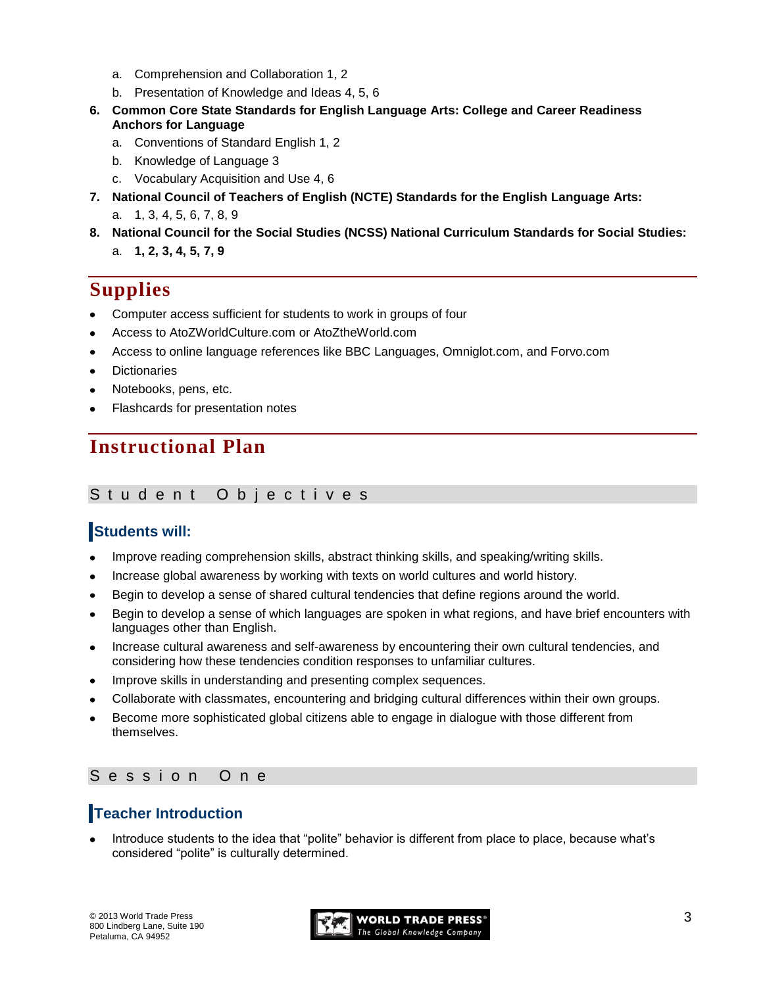- a. Comprehension and Collaboration 1, 2
- b. Presentation of Knowledge and Ideas 4, 5, 6
- **6. Common Core State Standards for English Language Arts: College and Career Readiness Anchors for Language**
	- a. Conventions of Standard English 1, 2
	- b. Knowledge of Language 3
	- c. Vocabulary Acquisition and Use 4, 6
- **7. National Council of Teachers of English (NCTE) Standards for the English Language Arts:** 
	- a. 1, 3, 4, 5, 6, 7, 8, 9
- **8. National Council for the Social Studies (NCSS) National Curriculum Standards for Social Studies:**  a. **1, 2, 3, 4, 5, 7, 9**

# **Supplies**

- Computer access sufficient for students to work in groups of four  $\bullet$
- Access to AtoZWorldCulture.com or AtoZtheWorld.com
- Access to online language references like BBC Languages, Omniglot.com, and Forvo.com
- **Dictionaries**
- Notebooks, pens, etc.
- Flashcards for presentation notes

# **Instructional Plan**

#### Student Objectives

## **Students will:**

- Improve reading comprehension skills, abstract thinking skills, and speaking/writing skills.
- Increase global awareness by working with texts on world cultures and world history.
- Begin to develop a sense of shared cultural tendencies that define regions around the world.
- Begin to develop a sense of which languages are spoken in what regions, and have brief encounters with languages other than English.
- Increase cultural awareness and self-awareness by encountering their own cultural tendencies, and considering how these tendencies condition responses to unfamiliar cultures.
- Improve skills in understanding and presenting complex sequences.
- Collaborate with classmates, encountering and bridging cultural differences within their own groups.
- Become more sophisticated global citizens able to engage in dialogue with those different from  $\bullet$ themselves.

### Session One

## **Teacher Introduction**

Introduce students to the idea that "polite" behavior is different from place to place, because what's considered "polite" is culturally determined.

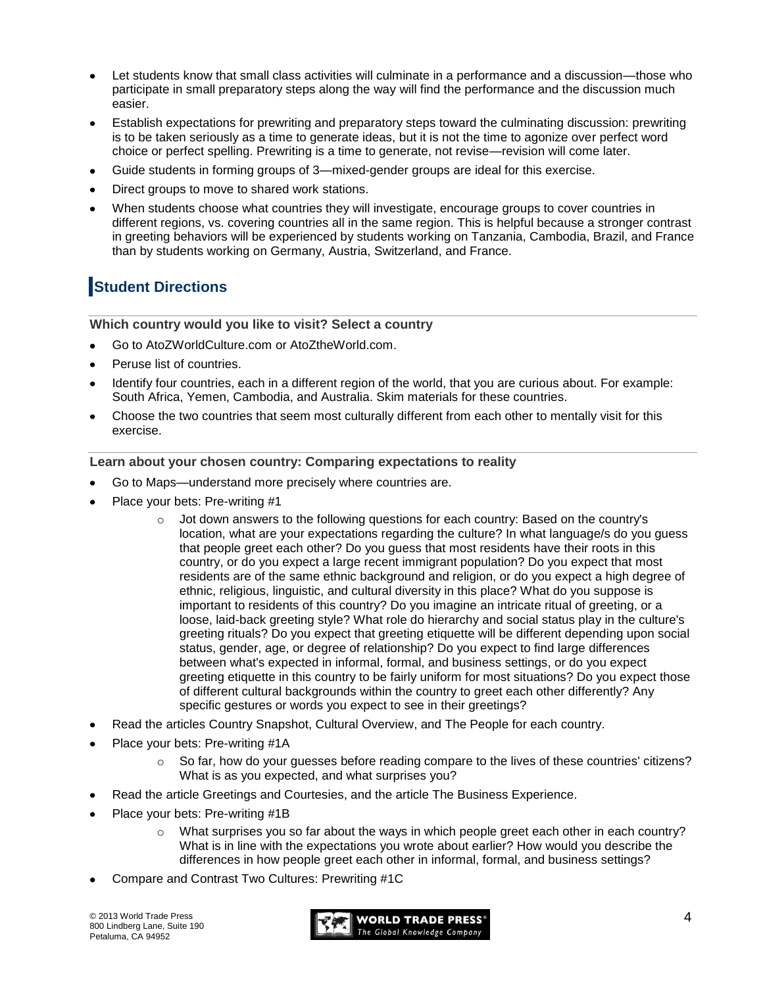- Let students know that small class activities will culminate in a performance and a discussion—those who participate in small preparatory steps along the way will find the performance and the discussion much easier.
- Establish expectations for prewriting and preparatory steps toward the culminating discussion: prewriting is to be taken seriously as a time to generate ideas, but it is not the time to agonize over perfect word choice or perfect spelling. Prewriting is a time to generate, not revise—revision will come later.
- Guide students in forming groups of 3—mixed-gender groups are ideal for this exercise.
- Direct groups to move to shared work stations.
- When students choose what countries they will investigate, encourage groups to cover countries in different regions, vs. covering countries all in the same region. This is helpful because a stronger contrast in greeting behaviors will be experienced by students working on Tanzania, Cambodia, Brazil, and France than by students working on Germany, Austria, Switzerland, and France.

## **Student Directions**

**Which country would you like to visit? Select a country**

- Go to AtoZWorldCulture.com or AtoZtheWorld.com.
- Peruse list of countries.
- Identify four countries, each in a different region of the world, that you are curious about. For example: South Africa, Yemen, Cambodia, and Australia. Skim materials for these countries.
- Choose the two countries that seem most culturally different from each other to mentally visit for this exercise.

#### **Learn about your chosen country: Comparing expectations to reality**

- Go to Maps—understand more precisely where countries are.
- Place your bets: Pre-writing #1
	- $\circ$  Jot down answers to the following questions for each country: Based on the country's location, what are your expectations regarding the culture? In what language/s do you guess that people greet each other? Do you guess that most residents have their roots in this country, or do you expect a large recent immigrant population? Do you expect that most residents are of the same ethnic background and religion, or do you expect a high degree of ethnic, religious, linguistic, and cultural diversity in this place? What do you suppose is important to residents of this country? Do you imagine an intricate ritual of greeting, or a loose, laid-back greeting style? What role do hierarchy and social status play in the culture's greeting rituals? Do you expect that greeting etiquette will be different depending upon social status, gender, age, or degree of relationship? Do you expect to find large differences between what's expected in informal, formal, and business settings, or do you expect greeting etiquette in this country to be fairly uniform for most situations? Do you expect those of different cultural backgrounds within the country to greet each other differently? Any specific gestures or words you expect to see in their greetings?
- Read the articles Country Snapshot, Cultural Overview, and The People for each country.
- Place your bets: Pre-writing #1A
	- $\circ$  So far, how do your guesses before reading compare to the lives of these countries' citizens? What is as you expected, and what surprises you?
- Read the article Greetings and Courtesies, and the article The Business Experience.
- Place your bets: Pre-writing #1B
	- $\circ$  What surprises you so far about the ways in which people greet each other in each country? What is in line with the expectations you wrote about earlier? How would you describe the differences in how people greet each other in informal, formal, and business settings?
- Compare and Contrast Two Cultures: Prewriting #1C

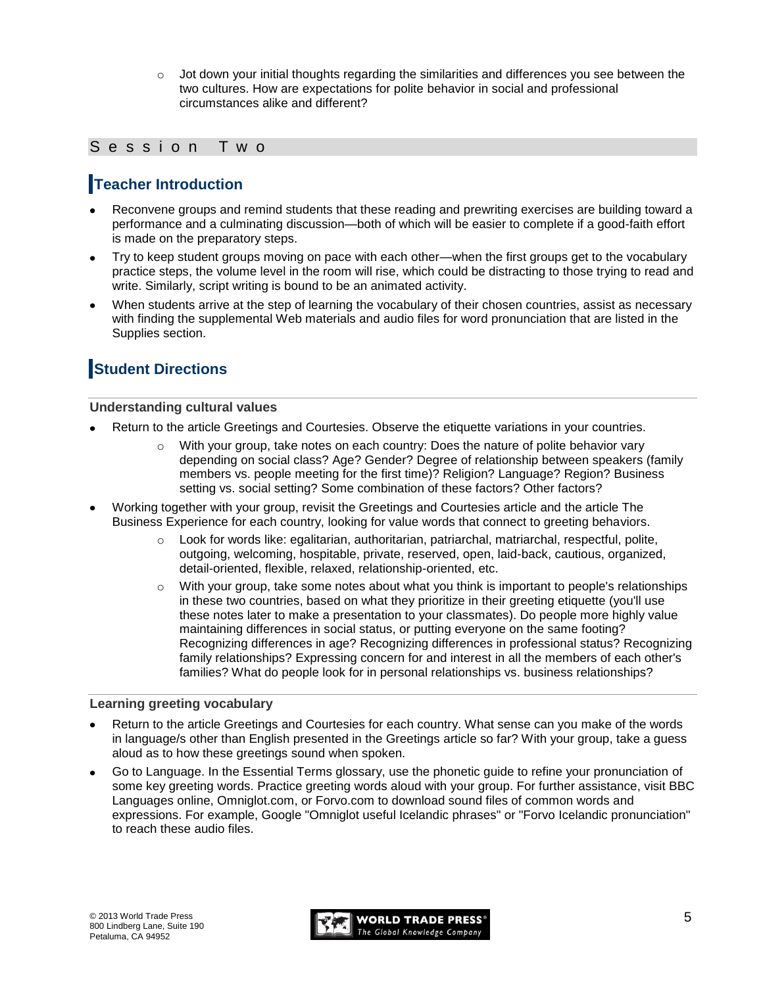$\circ$  Jot down your initial thoughts regarding the similarities and differences you see between the two cultures. How are expectations for polite behavior in social and professional circumstances alike and different?

### Session Two

### **Teacher Introduction**

- Reconvene groups and remind students that these reading and prewriting exercises are building toward a performance and a culminating discussion—both of which will be easier to complete if a good-faith effort is made on the preparatory steps.
- Try to keep student groups moving on pace with each other—when the first groups get to the vocabulary practice steps, the volume level in the room will rise, which could be distracting to those trying to read and write. Similarly, script writing is bound to be an animated activity.
- When students arrive at the step of learning the vocabulary of their chosen countries, assist as necessary with finding the supplemental Web materials and audio files for word pronunciation that are listed in the Supplies section.

## **Student Directions**

#### **Understanding cultural values**

- Return to the article Greetings and Courtesies. Observe the etiquette variations in your countries.
	- $\circ$  With your group, take notes on each country: Does the nature of polite behavior vary depending on social class? Age? Gender? Degree of relationship between speakers (family members vs. people meeting for the first time)? Religion? Language? Region? Business setting vs. social setting? Some combination of these factors? Other factors?
- Working together with your group, revisit the Greetings and Courtesies article and the article The Business Experience for each country, looking for value words that connect to greeting behaviors.
	- o Look for words like: egalitarian, authoritarian, patriarchal, matriarchal, respectful, polite, outgoing, welcoming, hospitable, private, reserved, open, laid-back, cautious, organized, detail-oriented, flexible, relaxed, relationship-oriented, etc.
	- $\circ$  With your group, take some notes about what you think is important to people's relationships in these two countries, based on what they prioritize in their greeting etiquette (you'll use these notes later to make a presentation to your classmates). Do people more highly value maintaining differences in social status, or putting everyone on the same footing? Recognizing differences in age? Recognizing differences in professional status? Recognizing family relationships? Expressing concern for and interest in all the members of each other's families? What do people look for in personal relationships vs. business relationships?

#### **Learning greeting vocabulary**

- Return to the article Greetings and Courtesies for each country. What sense can you make of the words in language/s other than English presented in the Greetings article so far? With your group, take a guess aloud as to how these greetings sound when spoken.
- Go to Language. In the Essential Terms glossary, use the phonetic guide to refine your pronunciation of some key greeting words. Practice greeting words aloud with your group. For further assistance, visit BBC Languages online, Omniglot.com, or Forvo.com to download sound files of common words and expressions. For example, Google "Omniglot useful Icelandic phrases" or "Forvo Icelandic pronunciation" to reach these audio files.

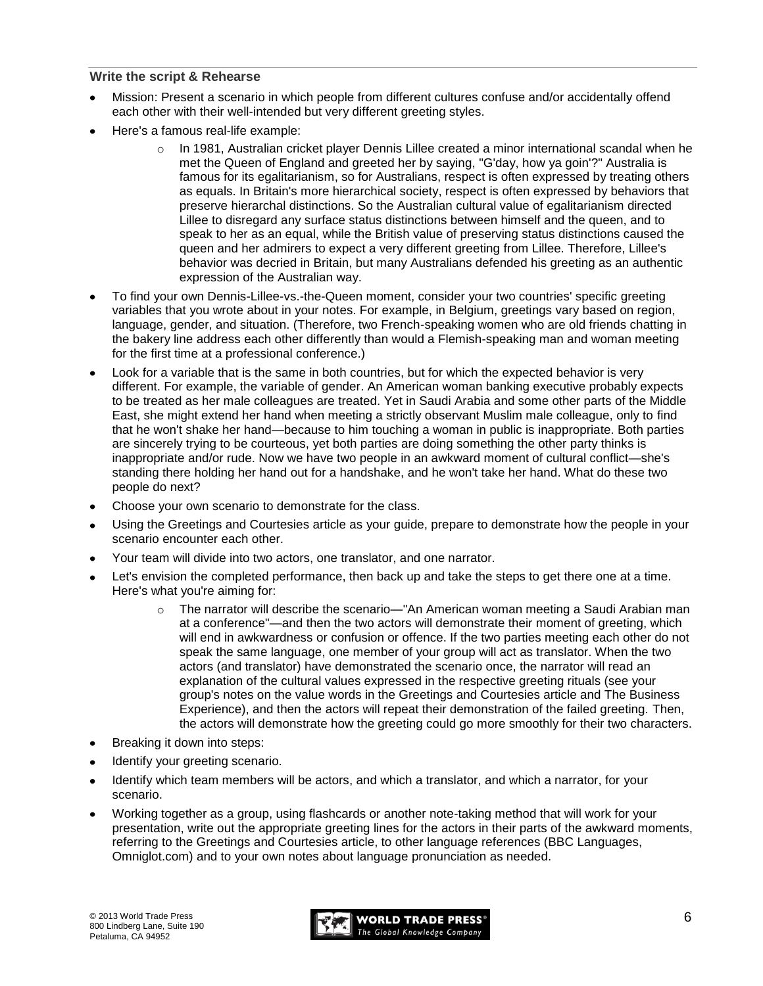#### **Write the script & Rehearse**

- Mission: Present a scenario in which people from different cultures confuse and/or accidentally offend each other with their well-intended but very different greeting styles.
- Here's a famous real-life example:
	- $\circ$  In 1981, Australian cricket player Dennis Lillee created a minor international scandal when he met the Queen of England and greeted her by saying, "G'day, how ya goin'?" Australia is famous for its egalitarianism, so for Australians, respect is often expressed by treating others as equals. In Britain's more hierarchical society, respect is often expressed by behaviors that preserve hierarchal distinctions. So the Australian cultural value of egalitarianism directed Lillee to disregard any surface status distinctions between himself and the queen, and to speak to her as an equal, while the British value of preserving status distinctions caused the queen and her admirers to expect a very different greeting from Lillee. Therefore, Lillee's behavior was decried in Britain, but many Australians defended his greeting as an authentic expression of the Australian way.
- To find your own Dennis-Lillee-vs.-the-Queen moment, consider your two countries' specific greeting variables that you wrote about in your notes. For example, in Belgium, greetings vary based on region, language, gender, and situation. (Therefore, two French-speaking women who are old friends chatting in the bakery line address each other differently than would a Flemish-speaking man and woman meeting for the first time at a professional conference.)
- Look for a variable that is the same in both countries, but for which the expected behavior is very different. For example, the variable of gender. An American woman banking executive probably expects to be treated as her male colleagues are treated. Yet in Saudi Arabia and some other parts of the Middle East, she might extend her hand when meeting a strictly observant Muslim male colleague, only to find that he won't shake her hand—because to him touching a woman in public is inappropriate. Both parties are sincerely trying to be courteous, yet both parties are doing something the other party thinks is inappropriate and/or rude. Now we have two people in an awkward moment of cultural conflict—she's standing there holding her hand out for a handshake, and he won't take her hand. What do these two people do next?
- Choose your own scenario to demonstrate for the class.
- Using the Greetings and Courtesies article as your guide, prepare to demonstrate how the people in your scenario encounter each other.
- Your team will divide into two actors, one translator, and one narrator.
- Let's envision the completed performance, then back up and take the steps to get there one at a time. Here's what you're aiming for:
	- o The narrator will describe the scenario—"An American woman meeting a Saudi Arabian man at a conference"—and then the two actors will demonstrate their moment of greeting, which will end in awkwardness or confusion or offence. If the two parties meeting each other do not speak the same language, one member of your group will act as translator. When the two actors (and translator) have demonstrated the scenario once, the narrator will read an explanation of the cultural values expressed in the respective greeting rituals (see your group's notes on the value words in the Greetings and Courtesies article and The Business Experience), and then the actors will repeat their demonstration of the failed greeting. Then, the actors will demonstrate how the greeting could go more smoothly for their two characters.
- Breaking it down into steps:
- Identify your greeting scenario.
- Identify which team members will be actors, and which a translator, and which a narrator, for your scenario.
- Working together as a group, using flashcards or another note-taking method that will work for your presentation, write out the appropriate greeting lines for the actors in their parts of the awkward moments, referring to the Greetings and Courtesies article, to other language references (BBC Languages, Omniglot.com) and to your own notes about language pronunciation as needed.

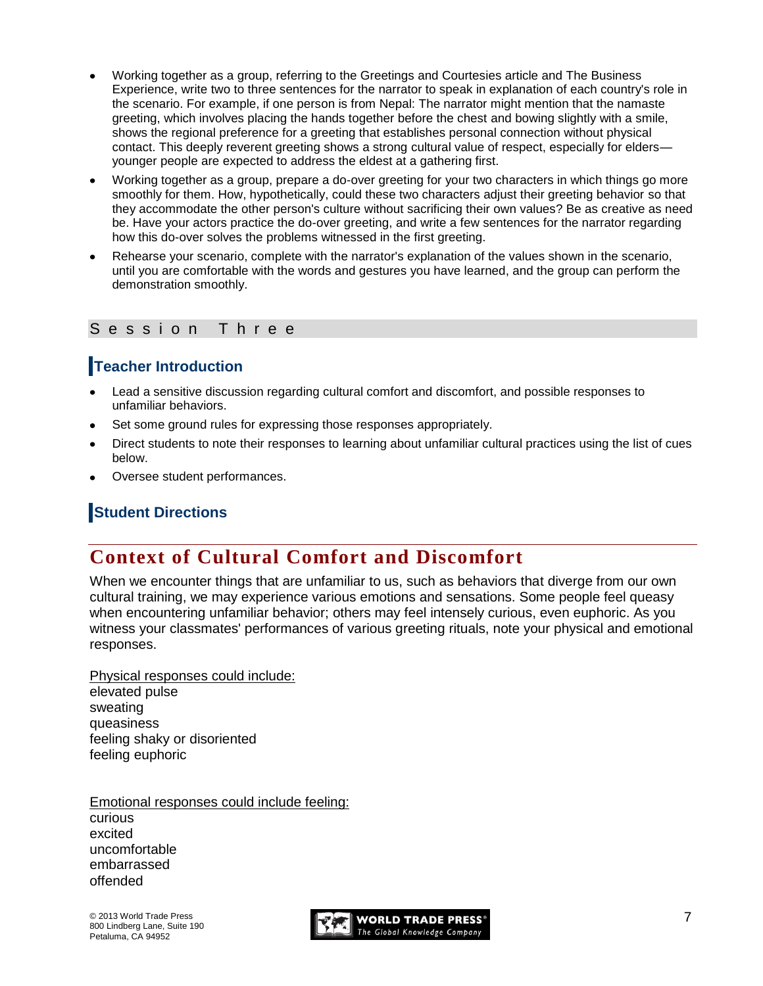- Working together as a group, referring to the Greetings and Courtesies article and The Business Experience, write two to three sentences for the narrator to speak in explanation of each country's role in the scenario. For example, if one person is from Nepal: The narrator might mention that the namaste greeting, which involves placing the hands together before the chest and bowing slightly with a smile, shows the regional preference for a greeting that establishes personal connection without physical contact. This deeply reverent greeting shows a strong cultural value of respect, especially for elders younger people are expected to address the eldest at a gathering first.
- Working together as a group, prepare a do-over greeting for your two characters in which things go more smoothly for them. How, hypothetically, could these two characters adjust their greeting behavior so that they accommodate the other person's culture without sacrificing their own values? Be as creative as need be. Have your actors practice the do-over greeting, and write a few sentences for the narrator regarding how this do-over solves the problems witnessed in the first greeting.
- Rehearse your scenario, complete with the narrator's explanation of the values shown in the scenario, until you are comfortable with the words and gestures you have learned, and the group can perform the demonstration smoothly.

#### Session Three

### **Teacher Introduction**

- Lead a sensitive discussion regarding cultural comfort and discomfort, and possible responses to unfamiliar behaviors.
- Set some ground rules for expressing those responses appropriately.
- Direct students to note their responses to learning about unfamiliar cultural practices using the list of cues below.
- Oversee student performances.

### **Student Directions**

## **Context of Cultural Comfort and Discomfort**

When we encounter things that are unfamiliar to us, such as behaviors that diverge from our own cultural training, we may experience various emotions and sensations. Some people feel queasy when encountering unfamiliar behavior; others may feel intensely curious, even euphoric. As you witness your classmates' performances of various greeting rituals, note your physical and emotional responses.

Physical responses could include: elevated pulse sweating queasiness feeling shaky or disoriented feeling euphoric

Emotional responses could include feeling: curious excited uncomfortable embarrassed offended

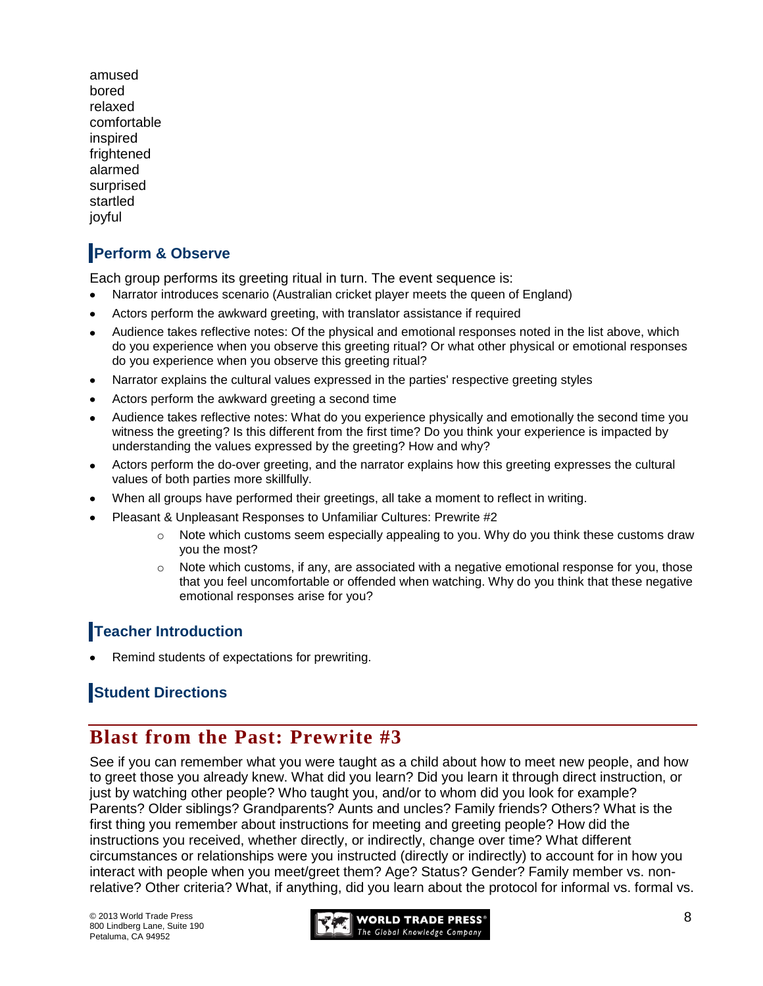amused bored relaxed comfortable inspired frightened alarmed surprised startled joyful

# **Perform & Observe**

Each group performs its greeting ritual in turn. The event sequence is:

- Narrator introduces scenario (Australian cricket player meets the queen of England)
- Actors perform the awkward greeting, with translator assistance if required
- Audience takes reflective notes: Of the physical and emotional responses noted in the list above, which do you experience when you observe this greeting ritual? Or what other physical or emotional responses do you experience when you observe this greeting ritual?
- Narrator explains the cultural values expressed in the parties' respective greeting styles
- Actors perform the awkward greeting a second time
- Audience takes reflective notes: What do you experience physically and emotionally the second time you witness the greeting? Is this different from the first time? Do you think your experience is impacted by understanding the values expressed by the greeting? How and why?
- Actors perform the do-over greeting, and the narrator explains how this greeting expresses the cultural values of both parties more skillfully.
- When all groups have performed their greetings, all take a moment to reflect in writing.
- Pleasant & Unpleasant Responses to Unfamiliar Cultures: Prewrite #2
	- $\circ$  Note which customs seem especially appealing to you. Why do you think these customs draw you the most?
	- $\circ$  Note which customs, if any, are associated with a negative emotional response for you, those that you feel uncomfortable or offended when watching. Why do you think that these negative emotional responses arise for you?

### **Teacher Introduction**

Remind students of expectations for prewriting.

## **Student Directions**

# **Blast from the Past: Prewrite #3**

See if you can remember what you were taught as a child about how to meet new people, and how to greet those you already knew. What did you learn? Did you learn it through direct instruction, or just by watching other people? Who taught you, and/or to whom did you look for example? Parents? Older siblings? Grandparents? Aunts and uncles? Family friends? Others? What is the first thing you remember about instructions for meeting and greeting people? How did the instructions you received, whether directly, or indirectly, change over time? What different circumstances or relationships were you instructed (directly or indirectly) to account for in how you interact with people when you meet/greet them? Age? Status? Gender? Family member vs. nonrelative? Other criteria? What, if anything, did you learn about the protocol for informal vs. formal vs.

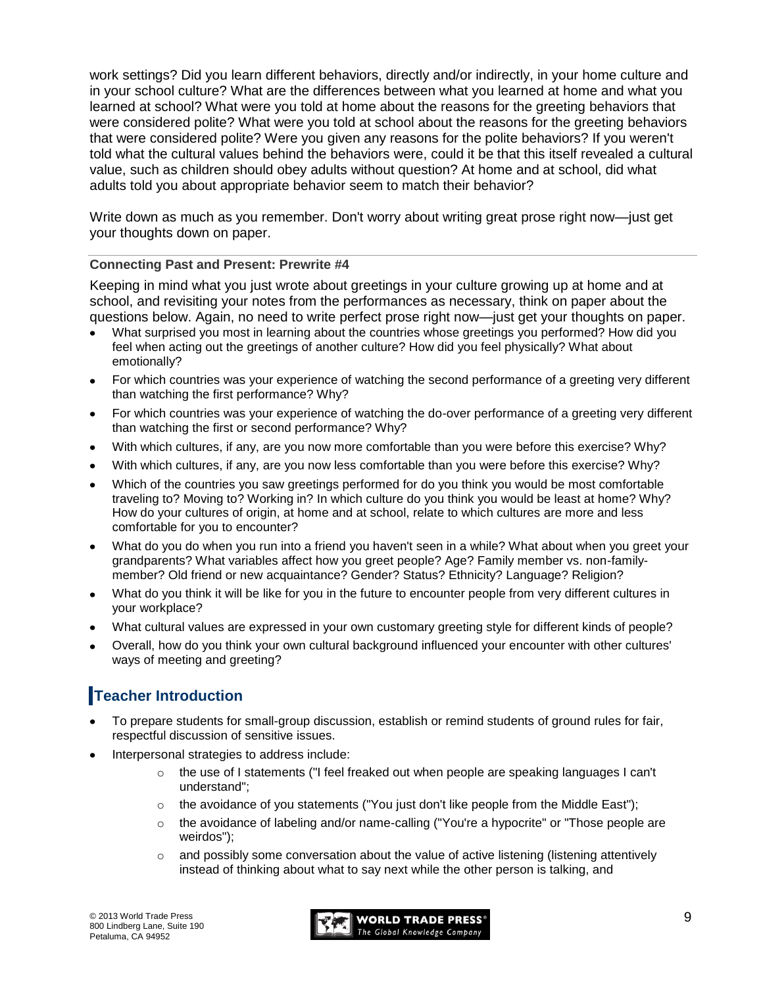work settings? Did you learn different behaviors, directly and/or indirectly, in your home culture and in your school culture? What are the differences between what you learned at home and what you learned at school? What were you told at home about the reasons for the greeting behaviors that were considered polite? What were you told at school about the reasons for the greeting behaviors that were considered polite? Were you given any reasons for the polite behaviors? If you weren't told what the cultural values behind the behaviors were, could it be that this itself revealed a cultural value, such as children should obey adults without question? At home and at school, did what adults told you about appropriate behavior seem to match their behavior?

Write down as much as you remember. Don't worry about writing great prose right now—just get your thoughts down on paper.

#### **Connecting Past and Present: Prewrite #4**

Keeping in mind what you just wrote about greetings in your culture growing up at home and at school, and revisiting your notes from the performances as necessary, think on paper about the questions below. Again, no need to write perfect prose right now—just get your thoughts on paper.

- What surprised you most in learning about the countries whose greetings you performed? How did you feel when acting out the greetings of another culture? How did you feel physically? What about emotionally?
- For which countries was your experience of watching the second performance of a greeting very different than watching the first performance? Why?
- For which countries was your experience of watching the do-over performance of a greeting very different than watching the first or second performance? Why?
- With which cultures, if any, are you now more comfortable than you were before this exercise? Why?
- With which cultures, if any, are you now less comfortable than you were before this exercise? Why?
- Which of the countries you saw greetings performed for do you think you would be most comfortable traveling to? Moving to? Working in? In which culture do you think you would be least at home? Why? How do your cultures of origin, at home and at school, relate to which cultures are more and less comfortable for you to encounter?
- What do you do when you run into a friend you haven't seen in a while? What about when you greet your grandparents? What variables affect how you greet people? Age? Family member vs. non-familymember? Old friend or new acquaintance? Gender? Status? Ethnicity? Language? Religion?
- What do you think it will be like for you in the future to encounter people from very different cultures in your workplace?
- What cultural values are expressed in your own customary greeting style for different kinds of people?
- Overall, how do you think your own cultural background influenced your encounter with other cultures' ways of meeting and greeting?

## **Teacher Introduction**

- To prepare students for small-group discussion, establish or remind students of ground rules for fair, respectful discussion of sensitive issues.
- Interpersonal strategies to address include:
	- $\circ$  the use of I statements ("I feel freaked out when people are speaking languages I can't understand";
	- $\circ$  the avoidance of you statements ("You just don't like people from the Middle East");
	- $\circ$  the avoidance of labeling and/or name-calling ("You're a hypocrite" or "Those people are weirdos");
	- $\circ$  and possibly some conversation about the value of active listening (listening attentively instead of thinking about what to say next while the other person is talking, and